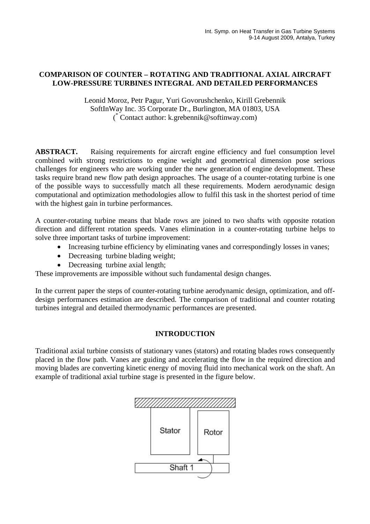# **COMPARISON OF COUNTER – ROTATING AND TRADITIONAL AXIAL AIRCRAFT LOW-PRESSURE TURBINES INTEGRAL AND DETAILED PERFORMANCES**

Leonid Moroz, Petr Pagur, Yuri Govorushchenko, Kirill Grebennik SoftInWay Inc. 35 Corporate Dr., Burlington, MA 01803, USA ( \* Contact author: k.grebennik@softinway.com)

**ABSTRACT.** Raising requirements for aircraft engine efficiency and fuel consumption level combined with strong restrictions to engine weight and geometrical dimension pose serious challenges for engineers who are working under the new generation of engine development. These tasks require brand new flow path design approaches. The usage of a counter-rotating turbine is one of the possible ways to successfully match all these requirements. Modern aerodynamic design computational and optimization methodologies allow to fulfil this task in the shortest period of time with the highest gain in turbine performances.

A counter-rotating turbine means that blade rows are joined to two shafts with opposite rotation direction and different rotation speeds. Vanes elimination in a counter-rotating turbine helps to solve three important tasks of turbine improvement:

- Increasing turbine efficiency by eliminating vanes and correspondingly losses in vanes;
- Decreasing turbine blading weight;
- Decreasing turbine axial length;

These improvements are impossible without such fundamental design changes.

In the current paper the steps of counter-rotating turbine aerodynamic design, optimization, and offdesign performances estimation are described. The comparison of traditional and counter rotating turbines integral and detailed thermodynamic performances are presented.

### **INTRODUCTION**

Traditional axial turbine consists of stationary vanes (stators) and rotating blades rows consequently placed in the flow path. Vanes are guiding and accelerating the flow in the required direction and moving blades are converting kinetic energy of moving fluid into mechanical work on the shaft. An example of traditional axial turbine stage is presented in the figure below.

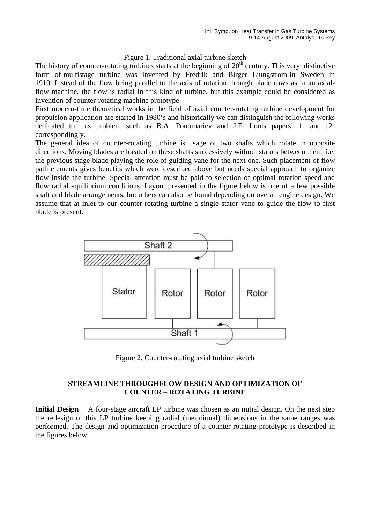#### Figure 1. Traditional axial turbine sketch

The history of counter-rotating turbines starts at the beginning of  $20<sup>th</sup>$  century. This very distinctive form of multistage turbine was invented by Fredrik and Birger Ljungstrom in Sweden in 1910. Instead of the flow being parallel to the axis of rotation through blade rows as in an axialflow machine, the flow is radial in this kind of turbine, but this example could be considered as invention of counter-rotating machine prototype

First modern-time theoretical works in the field of axial counter-rotating turbine development for propulsion application are started in 1980's and historically we can distinguish the following works dedicated to this problem such as B.A. Ponomariev and J.F. Louis papers [1] and [2] correspondingly.

The general idea of counter-rotating turbine is usage of two shafts which rotate in opposite directions. Moving blades are located on these shafts successively without stators between them, i.e. the previous stage blade playing the role of guiding vane for the next one. Such placement of flow path elements gives benefits which were described above but needs special approach to organize flow inside the turbine. Special attention must be paid to selection of optimal rotation speed and flow radial equilibrium conditions. Layout presented in the figure below is one of a few possible shaft and blade arrangements, but others can also be found depending on overall engine design. We assume that at inlet to our counter-rotating turbine a single stator vane to guide the flow to first blade is present.



Figure 2. Counter-rotating axial turbine sketch

### **STREAMLINE THROUGHFLOW DESIGN AND OPTIMIZATION OF COUNTER – ROTATING TURBINE**

**Initial Design** A four-stage aircraft LP turbine was chosen as an initial design. On the next step the redesign of this LP turbine keeping radial (meridional) dimensions in the same ranges was performed. The design and optimization procedure of a counter-rotating prototype is described in the figures below.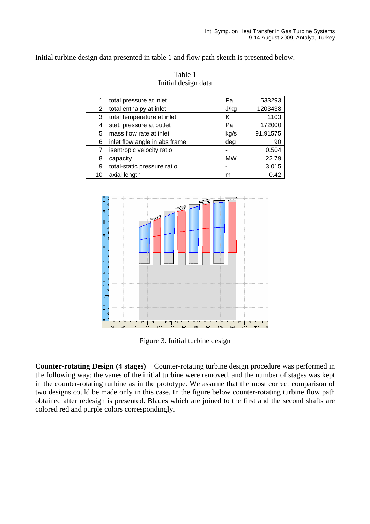Initial turbine design data presented in table 1 and flow path sketch is presented below.

| 1  | total pressure at inlet       | Pa        | 533293   |
|----|-------------------------------|-----------|----------|
| 2  | total enthalpy at inlet       | J/kg      | 1203438  |
| 3  | total temperature at inlet    | Κ         | 1103     |
| 4  | stat. pressure at outlet      | Pa        | 172000   |
| 5  | mass flow rate at inlet       | kg/s      | 91.91575 |
| 6  | inlet flow angle in abs frame | deg       | 90       |
| 7  | isentropic velocity ratio     |           | 0.504    |
| 8  | capacity                      | <b>MW</b> | 22.79    |
| 9  | total-static pressure ratio   |           | 3.015    |
| 10 | axial length                  | m         | 0.42     |





Figure 3. Initial turbine design

**Counter-rotating Design (4 stages)** Counter-rotating turbine design procedure was performed in the following way: the vanes of the initial turbine were removed, and the number of stages was kept in the counter-rotating turbine as in the prototype. We assume that the most correct comparison of two designs could be made only in this case. In the figure below counter-rotating turbine flow path obtained after redesign is presented. Blades which are joined to the first and the second shafts are colored red and purple colors correspondingly.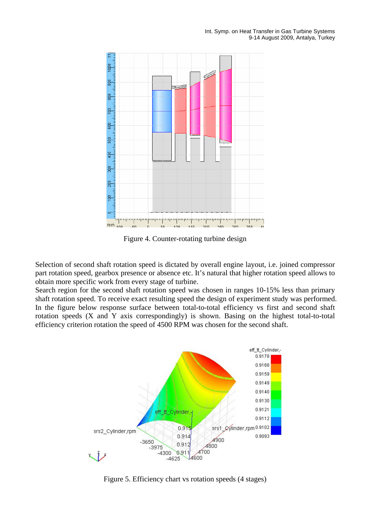

Figure 4. Counter-rotating turbine design

Selection of second shaft rotation speed is dictated by overall engine layout, i.e. joined compressor part rotation speed, gearbox presence or absence etc. It's natural that higher rotation speed allows to obtain more specific work from every stage of turbine.

Search region for the second shaft rotation speed was chosen in ranges 10-15% less than primary shaft rotation speed. To receive exact resulting speed the design of experiment study was performed. In the figure below response surface between total-to-total efficiency vs first and second shaft rotation speeds (X and Y axis correspondingly) is shown. Basing on the highest total-to-total efficiency criterion rotation the speed of 4500 RPM was chosen for the second shaft.



Figure 5. Efficiency chart vs rotation speeds (4 stages)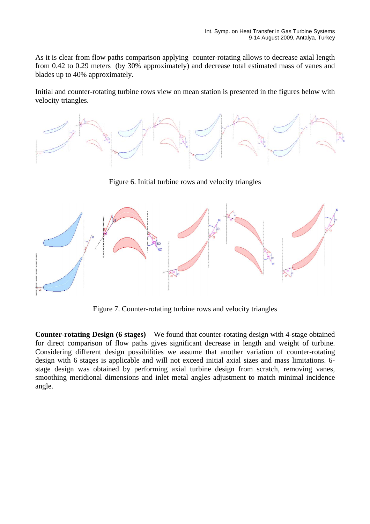As it is clear from flow paths comparison applying counter-rotating allows to decrease axial length from 0.42 to 0.29 meters (by 30% approximately) and decrease total estimated mass of vanes and blades up to 40% approximately.

Initial and counter-rotating turbine rows view on mean station is presented in the figures below with velocity triangles.



Figure 6. Initial turbine rows and velocity triangles



Figure 7. Counter-rotating turbine rows and velocity triangles

**Counter-rotating Design (6 stages)** We found that counter-rotating design with 4-stage obtained for direct comparison of flow paths gives significant decrease in length and weight of turbine. Considering different design possibilities we assume that another variation of counter-rotating design with 6 stages is applicable and will not exceed initial axial sizes and mass limitations. 6 stage design was obtained by performing axial turbine design from scratch, removing vanes, smoothing meridional dimensions and inlet metal angles adjustment to match minimal incidence angle.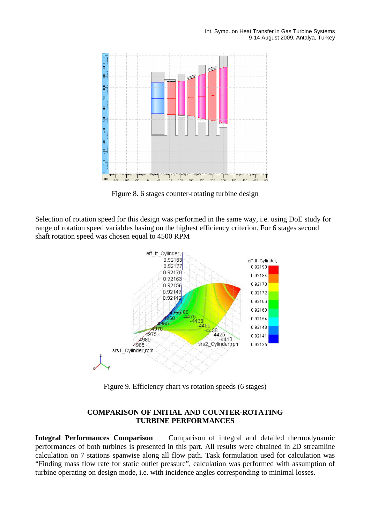

Figure 8. 6 stages counter-rotating turbine design

Selection of rotation speed for this design was performed in the same way, i.e. using DoE study for range of rotation speed variables basing on the highest efficiency criterion. For 6 stages second shaft rotation speed was chosen equal to 4500 RPM



Figure 9. Efficiency chart vs rotation speeds (6 stages)

# **COMPARISON OF INITIAL AND COUNTER-ROTATING TURBINE PERFORMANCES**

**Integral Performances Comparison** Comparison of integral and detailed thermodynamic performances of both turbines is presented in this part. All results were obtained in 2D streamline calculation on 7 stations spanwise along all flow path. Task formulation used for calculation was "Finding mass flow rate for static outlet pressure", calculation was performed with assumption of turbine operating on design mode, i.e. with incidence angles corresponding to minimal losses.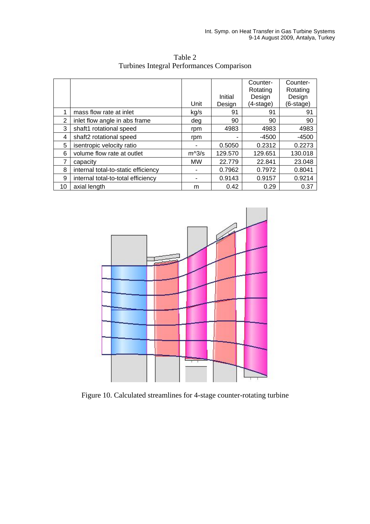|    |                                     |           |         | Counter-  | Counter-  |
|----|-------------------------------------|-----------|---------|-----------|-----------|
|    |                                     |           |         | Rotating  | Rotating  |
|    |                                     |           | Initial | Design    | Design    |
|    |                                     | Unit      | Design  | (4-stage) | (6-stage) |
|    | mass flow rate at inlet             | kg/s      | 91      | 91        | 91        |
| 2  | inlet flow angle in abs frame       | deg       | 90      | 90        | 90        |
| 3  | shaft1 rotational speed             | rpm       | 4983    | 4983      | 4983      |
| 4  | shaft2 rotational speed             | rpm       | ۰       | -4500     | $-4500$   |
| 5  | isentropic velocity ratio           |           | 0.5050  | 0.2312    | 0.2273    |
| 6  | volume flow rate at outlet          | $m^3/s$   | 129.570 | 129.651   | 130.018   |
|    | capacity                            | <b>MW</b> | 22.779  | 22.841    | 23.048    |
| 8  | internal total-to-static efficiency | ٠         | 0.7962  | 0.7972    | 0.8041    |
| 9  | internal total-to-total efficiency  |           | 0.9143  | 0.9157    | 0.9214    |
| 10 | axial length                        | m         | 0.42    | 0.29      | 0.37      |

Table 2 Turbines Integral Performances Comparison



Figure 10. Calculated streamlines for 4-stage counter-rotating turbine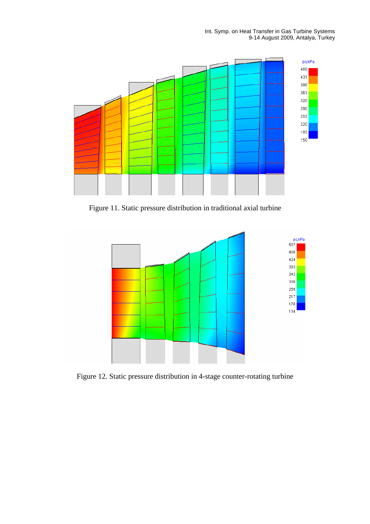

Figure 11. Static pressure distribution in traditional axial turbine



Figure 12. Static pressure distribution in 4-stage counter-rotating turbine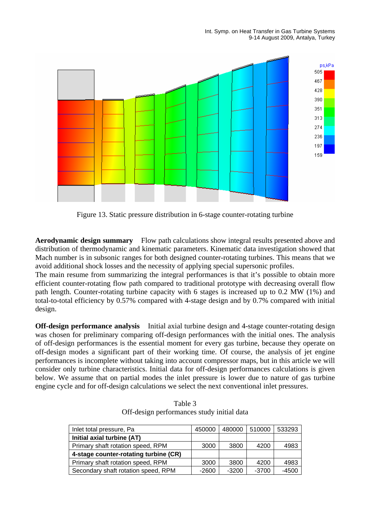

Figure 13. Static pressure distribution in 6-stage counter-rotating turbine

**Aerodynamic design summary** Flow path calculations show integral results presented above and distribution of thermodynamic and kinematic parameters. Kinematic data investigation showed that Mach number is in subsonic ranges for both designed counter-rotating turbines. This means that we avoid additional shock losses and the necessity of applying special supersonic profiles.

The main resume from summarizing the integral performances is that it's possible to obtain more efficient counter-rotating flow path compared to traditional prototype with decreasing overall flow path length. Counter-rotating turbine capacity with 6 stages is increased up to 0.2 MW (1%) and total-to-total efficiency by 0.57% compared with 4-stage design and by 0.7% compared with initial design.

**Off-design performance analysis** Initial axial turbine design and 4-stage counter-rotating design was chosen for preliminary comparing off-design performances with the initial ones. The analysis of off-design performances is the essential moment for every gas turbine, because they operate on off-design modes a significant part of their working time. Of course, the analysis of jet engine performances is incomplete without taking into account compressor maps, but in this article we will consider only turbine characteristics. Initial data for off-design performances calculations is given below. We assume that on partial modes the inlet pressure is lower due to nature of gas turbine engine cycle and for off-design calculations we select the next conventional inlet pressures.

| Inlet total pressure, Pa              | 450000  | 480000  | 510000  | 533293  |
|---------------------------------------|---------|---------|---------|---------|
| Initial axial turbine (AT)            |         |         |         |         |
| Primary shaft rotation speed, RPM     | 3000    | 3800    | 4200    | 4983    |
| 4-stage counter-rotating turbine (CR) |         |         |         |         |
| Primary shaft rotation speed, RPM     | 3000    | 3800    | 4200    | 4983    |
| Secondary shaft rotation speed, RPM   | $-2600$ | $-3200$ | $-3700$ | $-4500$ |

Table 3 Off-design performances study initial data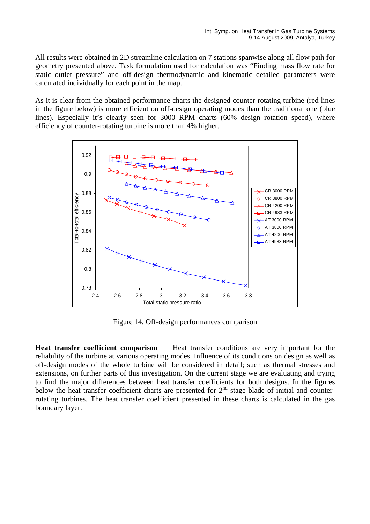All results were obtained in 2D streamline calculation on 7 stations spanwise along all flow path for geometry presented above. Task formulation used for calculation was "Finding mass flow rate for static outlet pressure" and off-design thermodynamic and kinematic detailed parameters were calculated individually for each point in the map.

As it is clear from the obtained performance charts the designed counter-rotating turbine (red lines in the figure below) is more efficient on off-design operating modes than the traditional one (blue lines). Especially it's clearly seen for 3000 RPM charts (60% design rotation speed), where efficiency of counter-rotating turbine is more than 4% higher.



Figure 14. Off-design performances comparison

**Heat transfer coefficient comparison** Heat transfer conditions are very important for the reliability of the turbine at various operating modes. Influence of its conditions on design as well as off-design modes of the whole turbine will be considered in detail; such as thermal stresses and extensions, on further parts of this investigation. On the current stage we are evaluating and trying to find the major differences between heat transfer coefficients for both designs. In the figures below the heat transfer coefficient charts are presented for  $2<sup>nd</sup>$  stage blade of initial and counterrotating turbines. The heat transfer coefficient presented in these charts is calculated in the gas boundary layer.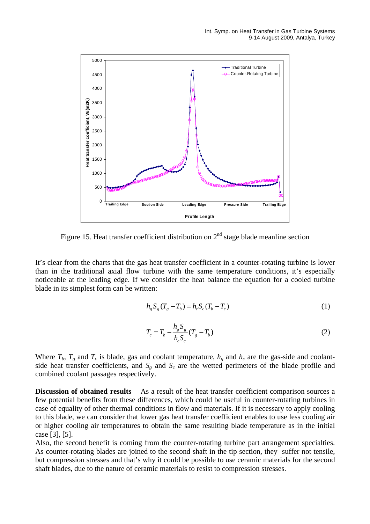

Figure 15. Heat transfer coefficient distribution on  $2<sup>nd</sup>$  stage blade meanline section

It's clear from the charts that the gas heat transfer coefficient in a counter-rotating turbine is lower than in the traditional axial flow turbine with the same temperature conditions, it's especially noticeable at the leading edge. If we consider the heat balance the equation for a cooled turbine blade in its simplest form can be written:

$$
h_g S_g (T_g - T_b) = h_c S_c (T_b - T_c)
$$
\n(1)

$$
T_c = T_b - \frac{h_g S_g}{h_c S_c} (T_g - T_b)
$$
 (2)

Where  $T_b$ ,  $T_g$  and  $T_c$  is blade, gas and coolant temperature,  $h_g$  and  $h_c$  are the gas-side and coolantside heat transfer coefficients, and  $S_g$  and  $S_g$  are the wetted perimeters of the blade profile and combined coolant passages respectively.

**Discussion of obtained results** As a result of the heat transfer coefficient comparison sources a few potential benefits from these differences, which could be useful in counter-rotating turbines in case of equality of other thermal conditions in flow and materials. If it is necessary to apply cooling to this blade, we can consider that lower gas heat transfer coefficient enables to use less cooling air or higher cooling air temperatures to obtain the same resulting blade temperature as in the initial case [3], [5].

Also, the second benefit is coming from the counter-rotating turbine part arrangement specialties. As counter-rotating blades are joined to the second shaft in the tip section, they suffer not tensile, but compression stresses and that's why it could be possible to use ceramic materials for the second shaft blades, due to the nature of ceramic materials to resist to compression stresses.